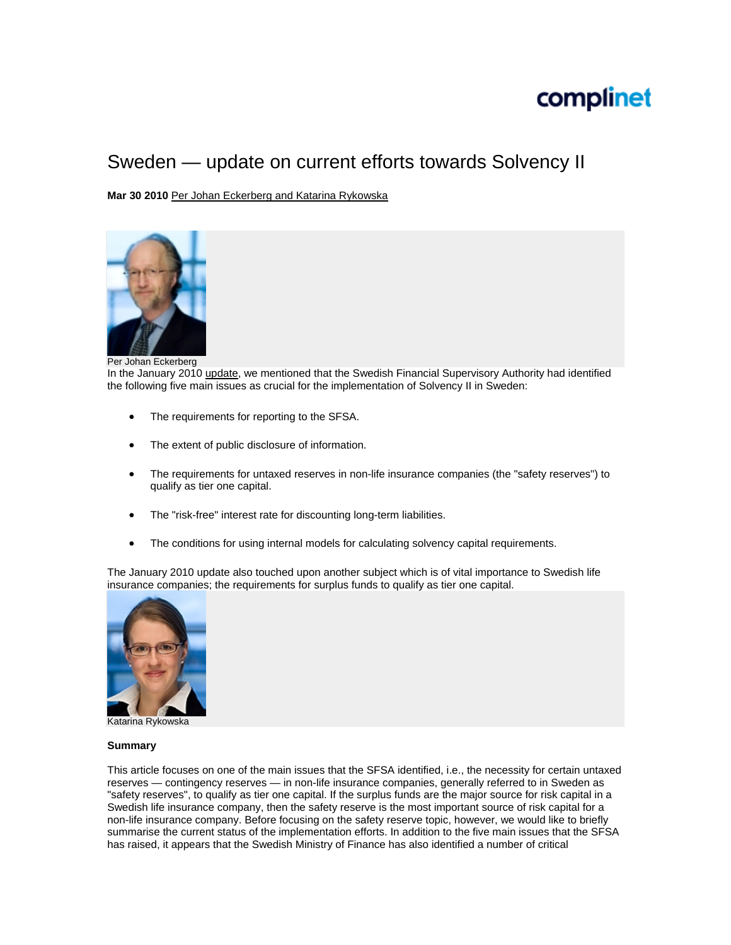# complinet

# Sweden — update on current efforts towards Solvency II

**Mar 30 2010** [Per Johan Eckerberg and Katarina Rykowska](mailto:perjohan.eckerberg@vinge.se;%20katarina.rykowska@vinge.se)



Per Johan Eckerberg

In the January 2010 [update](http://www.complinet.com/global/news/news/article.html?ref=127189), we mentioned that the Swedish Financial Supervisory Authority had identified the following five main issues as crucial for the implementation of Solvency II in Sweden:

- The requirements for reporting to the SFSA.
- The extent of public disclosure of information.
- The requirements for untaxed reserves in non-life insurance companies (the "safety reserves") to qualify as tier one capital.
- The "risk-free" interest rate for discounting long-term liabilities.
- The conditions for using internal models for calculating solvency capital requirements.

The January 2010 update also touched upon another subject which is of vital importance to Swedish life insurance companies; the requirements for surplus funds to qualify as tier one capital.



Katarina Rykowska

## **Summary**

This article focuses on one of the main issues that the SFSA identified, i.e., the necessity for certain untaxed reserves — contingency reserves — in non-life insurance companies, generally referred to in Sweden as "safety reserves", to qualify as tier one capital. If the surplus funds are the major source for risk capital in a Swedish life insurance company, then the safety reserve is the most important source of risk capital for a non-life insurance company. Before focusing on the safety reserve topic, however, we would like to briefly summarise the current status of the implementation efforts. In addition to the five main issues that the SFSA has raised, it appears that the Swedish Ministry of Finance has also identified a number of critical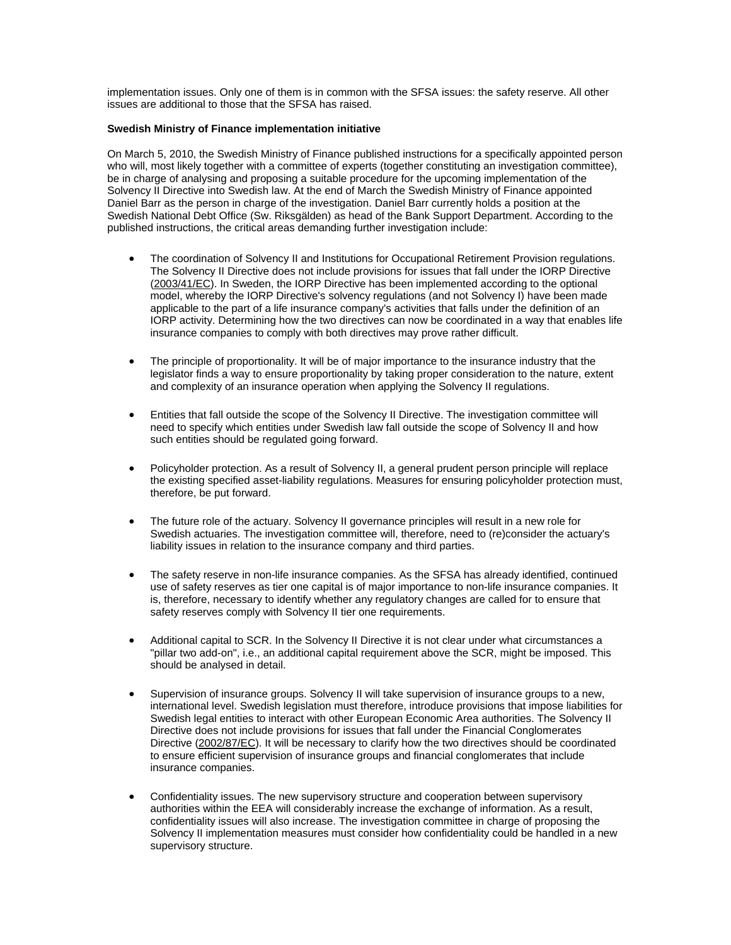implementation issues. Only one of them is in common with the SFSA issues: the safety reserve. All other issues are additional to those that the SFSA has raised.

### **Swedish Ministry of Finance implementation initiative**

On March 5, 2010, the Swedish Ministry of Finance published instructions for a specifically appointed person who will, most likely together with a committee of experts (together constituting an investigation committee), be in charge of analysing and proposing a suitable procedure for the upcoming implementation of the Solvency II Directive into Swedish law. At the end of March the Swedish Ministry of Finance appointed Daniel Barr as the person in charge of the investigation. Daniel Barr currently holds a position at the Swedish National Debt Office (Sw. Riksgälden) as head of the Bank Support Department. According to the published instructions, the critical areas demanding further investigation include:

- The coordination of Solvency II and Institutions for Occupational Retirement Provision regulations. The Solvency II Directive does not include provisions for issues that fall under the IORP Directive ([2003/41/EC](http://www.complinet.com/global-rulebooks/display/display.html?rbid=1107&element_id=6781)). In Sweden, the IORP Directive has been implemented according to the optional model, whereby the IORP Directive's solvency regulations (and not Solvency I) have been made applicable to the part of a life insurance company's activities that falls under the definition of an IORP activity. Determining how the two directives can now be coordinated in a way that enables life insurance companies to comply with both directives may prove rather difficult.
- The principle of proportionality. It will be of major importance to the insurance industry that the legislator finds a way to ensure proportionality by taking proper consideration to the nature, extent and complexity of an insurance operation when applying the Solvency II regulations.
- Entities that fall outside the scope of the Solvency II Directive. The investigation committee will need to specify which entities under Swedish law fall outside the scope of Solvency II and how such entities should be regulated going forward.
- Policyholder protection. As a result of Solvency II, a general prudent person principle will replace the existing specified asset-liability regulations. Measures for ensuring policyholder protection must, therefore, be put forward.
- The future role of the actuary. Solvency II governance principles will result in a new role for Swedish actuaries. The investigation committee will, therefore, need to (re)consider the actuary's liability issues in relation to the insurance company and third parties.
- The safety reserve in non-life insurance companies. As the SFSA has already identified, continued use of safety reserves as tier one capital is of major importance to non-life insurance companies. It is, therefore, necessary to identify whether any regulatory changes are called for to ensure that safety reserves comply with Solvency II tier one requirements.
- Additional capital to SCR. In the Solvency II Directive it is not clear under what circumstances a "pillar two add-on", i.e., an additional capital requirement above the SCR, might be imposed. This should be analysed in detail.
- Supervision of insurance groups. Solvency II will take supervision of insurance groups to a new, international level. Swedish legislation must therefore, introduce provisions that impose liabilities for Swedish legal entities to interact with other European Economic Area authorities. The Solvency II Directive does not include provisions for issues that fall under the Financial Conglomerates Directive [\(2002/87/EC](http://www.complinet.com/global-rulebooks/display/display.html?rbid=1107&element_id=2689)). It will be necessary to clarify how the two directives should be coordinated to ensure efficient supervision of insurance groups and financial conglomerates that include insurance companies.
- Confidentiality issues. The new supervisory structure and cooperation between supervisory authorities within the EEA will considerably increase the exchange of information. As a result, confidentiality issues will also increase. The investigation committee in charge of proposing the Solvency II implementation measures must consider how confidentiality could be handled in a new supervisory structure.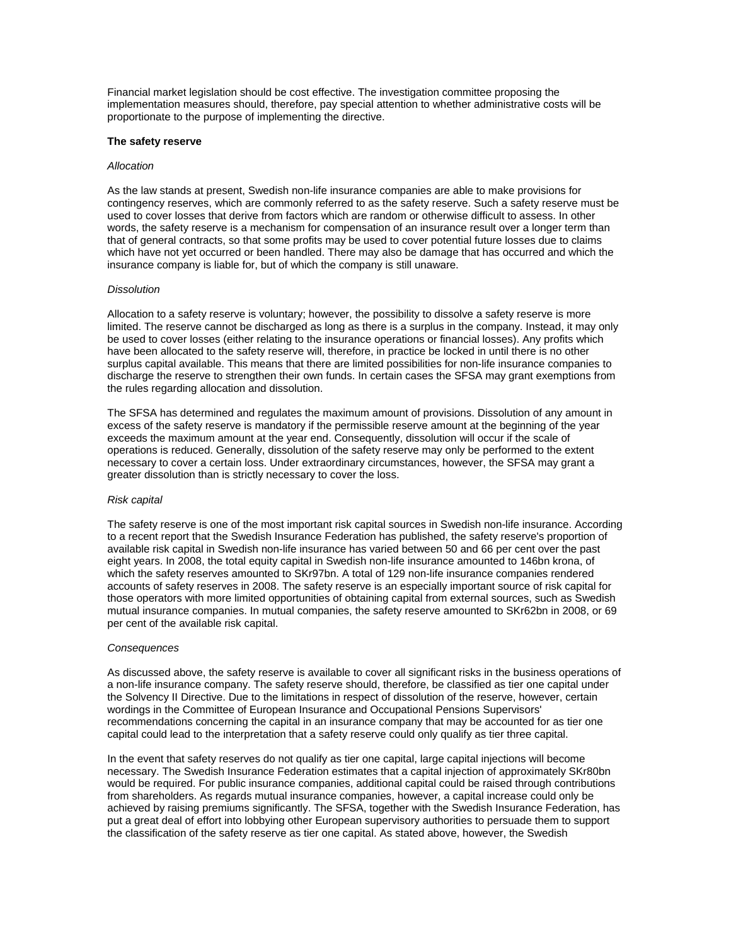Financial market legislation should be cost effective. The investigation committee proposing the implementation measures should, therefore, pay special attention to whether administrative costs will be proportionate to the purpose of implementing the directive.

#### **The safety reserve**

#### *Allocation*

As the law stands at present, Swedish non-life insurance companies are able to make provisions for contingency reserves, which are commonly referred to as the safety reserve. Such a safety reserve must be used to cover losses that derive from factors which are random or otherwise difficult to assess. In other words, the safety reserve is a mechanism for compensation of an insurance result over a longer term than that of general contracts, so that some profits may be used to cover potential future losses due to claims which have not yet occurred or been handled. There may also be damage that has occurred and which the insurance company is liable for, but of which the company is still unaware.

#### *Dissolution*

Allocation to a safety reserve is voluntary; however, the possibility to dissolve a safety reserve is more limited. The reserve cannot be discharged as long as there is a surplus in the company. Instead, it may only be used to cover losses (either relating to the insurance operations or financial losses). Any profits which have been allocated to the safety reserve will, therefore, in practice be locked in until there is no other surplus capital available. This means that there are limited possibilities for non-life insurance companies to discharge the reserve to strengthen their own funds. In certain cases the SFSA may grant exemptions from the rules regarding allocation and dissolution.

The SFSA has determined and regulates the maximum amount of provisions. Dissolution of any amount in excess of the safety reserve is mandatory if the permissible reserve amount at the beginning of the year exceeds the maximum amount at the year end. Consequently, dissolution will occur if the scale of operations is reduced. Generally, dissolution of the safety reserve may only be performed to the extent necessary to cover a certain loss. Under extraordinary circumstances, however, the SFSA may grant a greater dissolution than is strictly necessary to cover the loss.

#### *Risk capital*

The safety reserve is one of the most important risk capital sources in Swedish non-life insurance. According to a recent report that the Swedish Insurance Federation has published, the safety reserve's proportion of available risk capital in Swedish non-life insurance has varied between 50 and 66 per cent over the past eight years. In 2008, the total equity capital in Swedish non-life insurance amounted to 146bn krona, of which the safety reserves amounted to SKr97bn. A total of 129 non-life insurance companies rendered accounts of safety reserves in 2008. The safety reserve is an especially important source of risk capital for those operators with more limited opportunities of obtaining capital from external sources, such as Swedish mutual insurance companies. In mutual companies, the safety reserve amounted to SKr62bn in 2008, or 69 per cent of the available risk capital.

#### *Consequences*

As discussed above, the safety reserve is available to cover all significant risks in the business operations of a non-life insurance company. The safety reserve should, therefore, be classified as tier one capital under the Solvency II Directive. Due to the limitations in respect of dissolution of the reserve, however, certain wordings in the Committee of European Insurance and Occupational Pensions Supervisors' recommendations concerning the capital in an insurance company that may be accounted for as tier one capital could lead to the interpretation that a safety reserve could only qualify as tier three capital.

In the event that safety reserves do not qualify as tier one capital, large capital injections will become necessary. The Swedish Insurance Federation estimates that a capital injection of approximately SKr80bn would be required. For public insurance companies, additional capital could be raised through contributions from shareholders. As regards mutual insurance companies, however, a capital increase could only be achieved by raising premiums significantly. The SFSA, together with the Swedish Insurance Federation, has put a great deal of effort into lobbying other European supervisory authorities to persuade them to support the classification of the safety reserve as tier one capital. As stated above, however, the Swedish